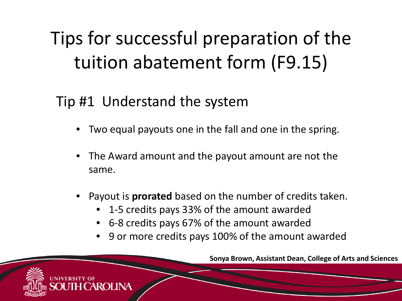### Tip #1 Understand the system

- Two equal payouts one in the fall and one in the spring.
- The Award amount and the payout amount are not the same.
- Payout is **prorated** based on the number of credits taken.
	- 1-5 credits pays 33% of the amount awarded
	- 6-8 credits pays 67% of the amount awarded
	- 9 or more credits pays 100% of the amount awarded

**Sonya Brown, Assistant Dean, College of Arts and Sciences**

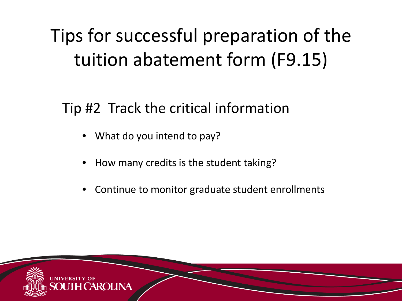Tip #2 Track the critical information

- What do you intend to pay?
- How many credits is the student taking?
- Continue to monitor graduate student enrollments

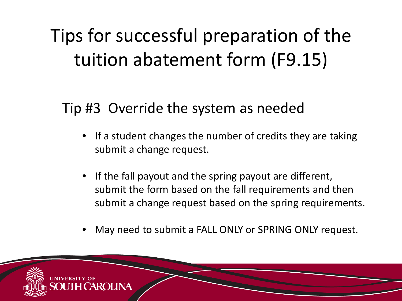Tip #3 Override the system as needed

- If a student changes the number of credits they are taking submit a change request.
- If the fall payout and the spring payout are different, submit the form based on the fall requirements and then submit a change request based on the spring requirements.
- May need to submit a FALL ONLY or SPRING ONLY request.

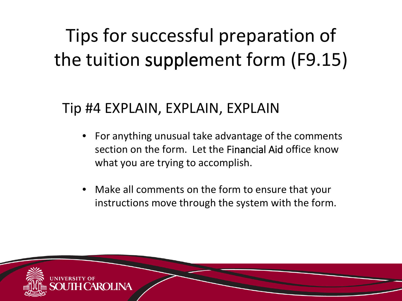### Tip #4 EXPLAIN, EXPLAIN, EXPLAIN

- For anything unusual take advantage of the comments section on the form. Let the Financial Aid office know what you are trying to accomplish.
- Make all comments on the form to ensure that your instructions move through the system with the form.

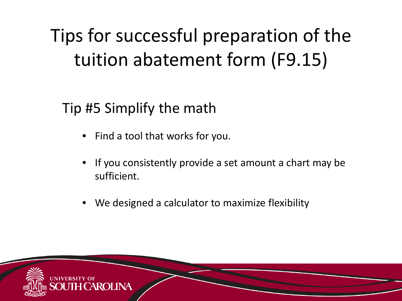Tip #5 Simplify the math

- Find a tool that works for you.
- If you consistently provide a set amount a chart may be sufficient.
- We designed a calculator to maximize flexibility

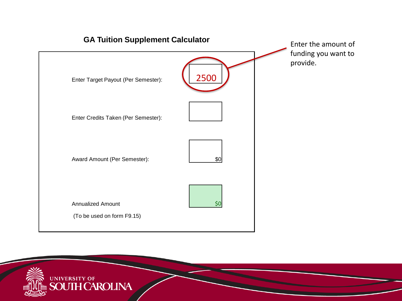

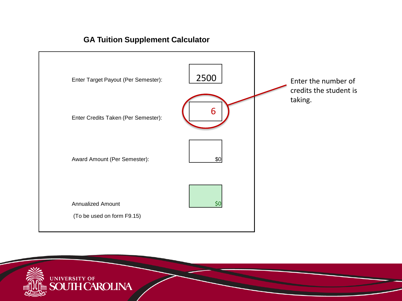



#### **GA Tuition Supplement Calculator**